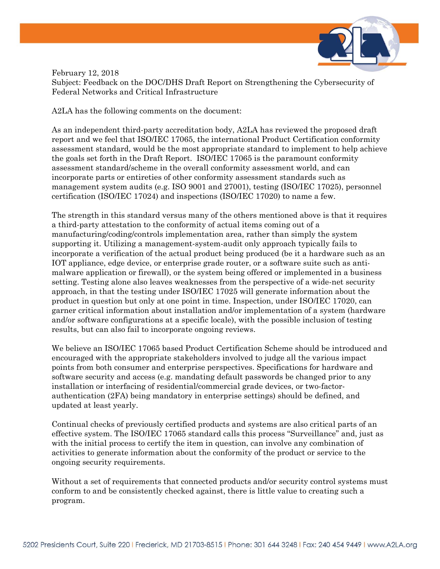

February 12, 2018

Subject: Feedback on the DOC/DHS Draft Report on Strengthening the Cybersecurity of Federal Networks and Critical Infrastructure

A2LA has the following comments on the document:

As an independent third-party accreditation body, A2LA has reviewed the proposed draft report and we feel that ISO/IEC 17065, the international Product Certification conformity assessment standard, would be the most appropriate standard to implement to help achieve the goals set forth in the Draft Report. ISO/IEC 17065 is the paramount conformity assessment standard/scheme in the overall conformity assessment world, and can incorporate parts or entireties of other conformity assessment standards such as management system audits (e.g. ISO 9001 and 27001), testing (ISO/IEC 17025), personnel certification (ISO/IEC 17024) and inspections (ISO/IEC 17020) to name a few.

The strength in this standard versus many of the others mentioned above is that it requires a third-party attestation to the conformity of actual items coming out of a manufacturing/coding/controls implementation area, rather than simply the system supporting it. Utilizing a management-system-audit only approach typically fails to incorporate a verification of the actual product being produced (be it a hardware such as an IOT appliance, edge device, or enterprise grade router, or a software suite such as antimalware application or firewall), or the system being offered or implemented in a business setting. Testing alone also leaves weaknesses from the perspective of a wide-net security approach, in that the testing under ISO/IEC 17025 will generate information about the product in question but only at one point in time. Inspection, under ISO/IEC 17020, can garner critical information about installation and/or implementation of a system (hardware and/or software configurations at a specific locale), with the possible inclusion of testing results, but can also fail to incorporate ongoing reviews.

We believe an ISO/IEC 17065 based Product Certification Scheme should be introduced and encouraged with the appropriate stakeholders involved to judge all the various impact points from both consumer and enterprise perspectives. Specifications for hardware and software security and access (e.g. mandating default passwords be changed prior to any installation or interfacing of residential/commercial grade devices, or two-factorauthentication (2FA) being mandatory in enterprise settings) should be defined, and updated at least yearly.

Continual checks of previously certified products and systems are also critical parts of an effective system. The ISO/IEC 17065 standard calls this process "Surveillance" and, just as with the initial process to certify the item in question, can involve any combination of activities to generate information about the conformity of the product or service to the ongoing security requirements.

Without a set of requirements that connected products and/or security control systems must conform to and be consistently checked against, there is little value to creating such a program.